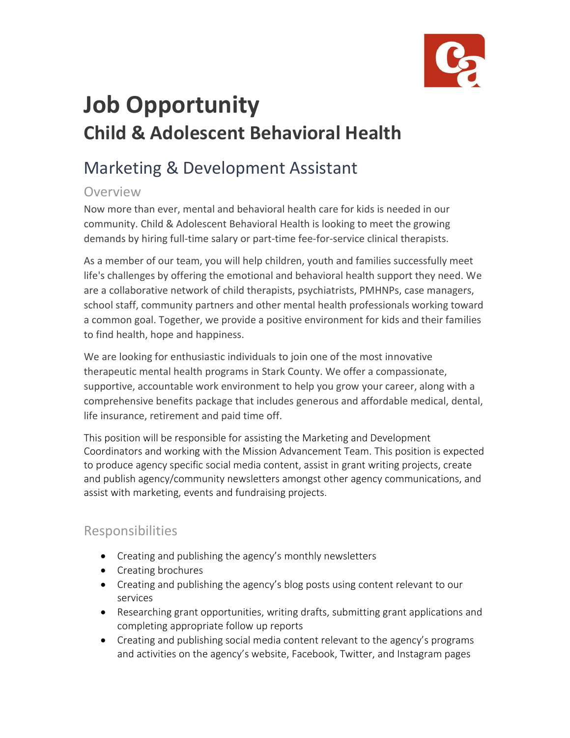

# **Job Opportunity Child & Adolescent Behavioral Health**

# Marketing & Development Assistant

# Overview

Now more than ever, mental and behavioral health care for kids is needed in our community. Child & Adolescent Behavioral Health is looking to meet the growing demands by hiring full-time salary or part-time fee-for-service clinical therapists.

As a member of our team, you will help children, youth and families successfully meet life's challenges by offering the emotional and behavioral health support they need. We are a collaborative network of child therapists, psychiatrists, PMHNPs, case managers, school staff, community partners and other mental health professionals working toward a common goal. Together, we provide a positive environment for kids and their families to find health, hope and happiness.

We are looking for enthusiastic individuals to join one of the most innovative therapeutic mental health programs in Stark County. We offer a compassionate, supportive, accountable work environment to help you grow your career, along with a comprehensive benefits package that includes generous and affordable medical, dental, life insurance, retirement and paid time off.

This position will be responsible for assisting the Marketing and Development Coordinators and working with the Mission Advancement Team. This position is expected to produce agency specific social media content, assist in grant writing projects, create and publish agency/community newsletters amongst other agency communications, and assist with marketing, events and fundraising projects.

# Responsibilities

- Creating and publishing the agency's monthly newsletters
- Creating brochures
- Creating and publishing the agency's blog posts using content relevant to our services
- Researching grant opportunities, writing drafts, submitting grant applications and completing appropriate follow up reports
- Creating and publishing social media content relevant to the agency's programs and activities on the agency's website, Facebook, Twitter, and Instagram pages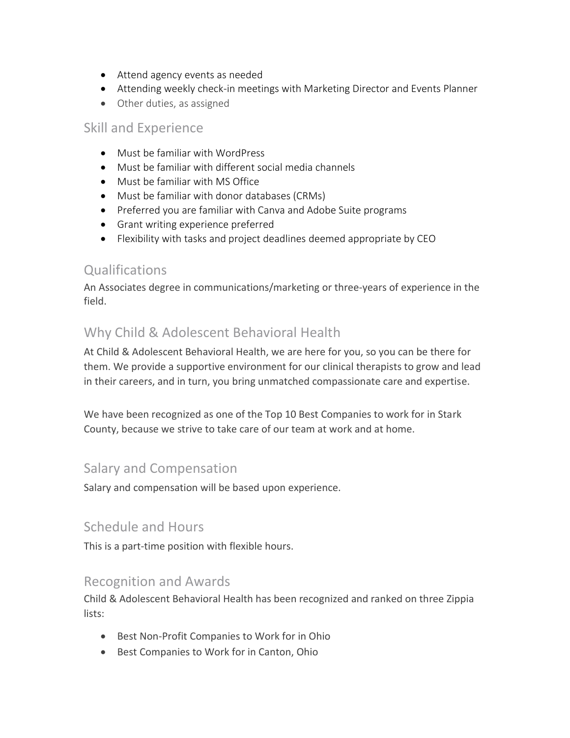- Attend agency events as needed
- Attending weekly check-in meetings with Marketing Director and Events Planner
- Other duties, as assigned

#### Skill and Experience

- Must be familiar with WordPress
- Must be familiar with different social media channels
- Must be familiar with MS Office
- Must be familiar with donor databases (CRMs)
- Preferred you are familiar with Canva and Adobe Suite programs
- Grant writing experience preferred
- Flexibility with tasks and project deadlines deemed appropriate by CEO

# **Qualifications**

An Associates degree in communications/marketing or three-years of experience in the field.

# Why Child & Adolescent Behavioral Health

At Child & Adolescent Behavioral Health, we are here for you, so you can be there for them. We provide a supportive environment for our clinical therapists to grow and lead in their careers, and in turn, you bring unmatched compassionate care and expertise.

We have been recognized as one of the Top 10 Best Companies to work for in Stark County, because we strive to take care of our team at work and at home.

#### Salary and Compensation

Salary and compensation will be based upon experience.

#### Schedule and Hours

This is a part-time position with flexible hours.

#### Recognition and Awards

Child & Adolescent Behavioral Health has been recognized and ranked on three Zippia lists:

- Best Non-Profit Companies to Work for in Ohio
- Best Companies to Work for in Canton, Ohio